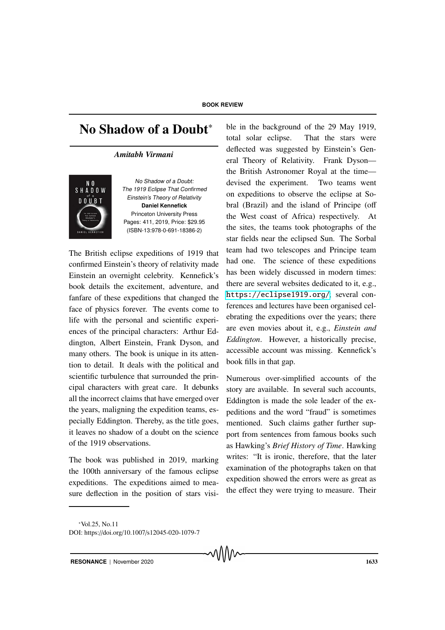## **BOOK REVIEW**

# No Shadow of a Doubt<sup>\*</sup>

#### *Amitabh Virmani*



No Shadow of <sup>a</sup> Doubt: The <sup>1919</sup> Eclipse That Confirmed Einstein's Theory of Relativity **Daniel Kennefick** Princeton University Press Pages: 411, 2019, Price: \$29.95 (ISBN-13:978-0-691-18386-2)

The British eclipse expeditions of 1919 that confirmed Einstein's theory of relativity made Einstein an overnight celebrity. Kennefick's book details the excitement, adventure, and fanfare of these expeditions that changed the face of physics forever. The events come to life with the personal and scientific experiences of the principal characters: Arthur Eddington, Albert Einstein, Frank Dyson, and many others. The book is unique in its attention to detail. It deals with the political and scientific turbulence that surrounded the principal characters with great care. It debunks all the incorrect claims that have emerged over the years, maligning the expedition teams, especially Eddington. Thereby, as the title goes, it leaves no shadow of a doubt on the science of the 1919 observations.

The book was published in 2019, marking the 100th anniversary of the famous eclipse expeditions. The expeditions aimed to measure deflection in the position of stars visi-

ble in the background of the 29 May 1919, total solar eclipse. That the stars were deflected was suggested by Einstein's General Theory of Relativity. Frank Dyson the British Astronomer Royal at the time devised the experiment. Two teams went on expeditions to observe the eclipse at Sobral (Brazil) and the island of Principe (off the West coast of Africa) respectively. At the sites, the teams took photographs of the star fields near the eclipsed Sun. The Sorbal team had two telescopes and Principe team had one. The science of these expeditions has been widely discussed in modern times: there are several websites dedicated to it, e.g., <https://eclipse1919.org/>; several conferences and lectures have been organised celebrating the expeditions over the years; there are even movies about it, e.g., *Einstein and Eddington*. However, a historically precise, accessible account was missing. Kennefick's book fills in that gap.

Numerous over-simplified accounts of the story are available. In several such accounts, Eddington is made the sole leader of the expeditions and the word "fraud" is sometimes mentioned. Such claims gather further support from sentences from famous books such as Hawking's *Brief History of Time*. Hawking writes: "It is ironic, therefore, that the later examination of the photographs taken on that expedition showed the errors were as great as the effect they were trying to measure. Their

**RESONANCE** | November 2020 **1633** 

<sup>∗</sup>Vol.25, No.11

DOI: https://doi.org/10.1007/s12045-020-1079-7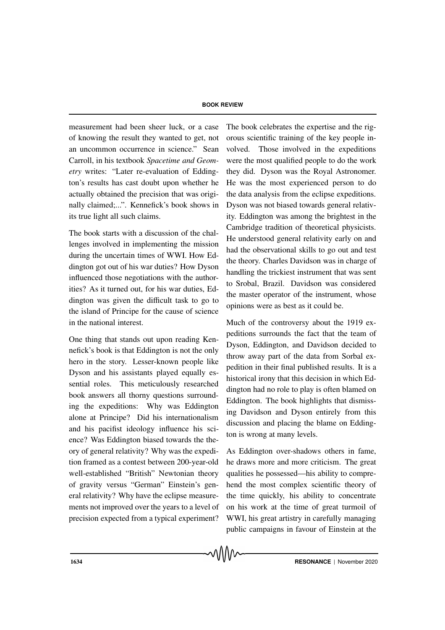## **BOOK REVIEW**

measurement had been sheer luck, or a case of knowing the result they wanted to get, not an uncommon occurrence in science." Sean Carroll, in his textbook *Spacetime and Geometry* writes: "Later re-evaluation of Eddington's results has cast doubt upon whether he actually obtained the precision that was originally claimed;...". Kennefick's book shows in its true light all such claims.

The book starts with a discussion of the challenges involved in implementing the mission during the uncertain times of WWI. How Eddington got out of his war duties? How Dyson influenced those negotiations with the authorities? As it turned out, for his war duties, Eddington was given the difficult task to go to the island of Principe for the cause of science in the national interest.

One thing that stands out upon reading Kennefick's book is that Eddington is not the only hero in the story. Lesser-known people like Dyson and his assistants played equally essential roles. This meticulously researched book answers all thorny questions surrounding the expeditions: Why was Eddington alone at Principe? Did his internationalism and his pacifist ideology influence his science? Was Eddington biased towards the theory of general relativity? Why was the expedition framed as a contest between 200-year-old well-established "British" Newtonian theory of gravity versus "German" Einstein's general relativity? Why have the eclipse measurements not improved over the years to a level of precision expected from a typical experiment?

The book celebrates the expertise and the rigorous scientific training of the key people involved. Those involved in the expeditions were the most qualified people to do the work they did. Dyson was the Royal Astronomer. He was the most experienced person to do the data analysis from the eclipse expeditions. Dyson was not biased towards general relativity. Eddington was among the brightest in the Cambridge tradition of theoretical physicists. He understood general relativity early on and had the observational skills to go out and test the theory. Charles Davidson was in charge of handling the trickiest instrument that was sent to Srobal, Brazil. Davidson was considered the master operator of the instrument, whose opinions were as best as it could be.

Much of the controversy about the 1919 expeditions surrounds the fact that the team of Dyson, Eddington, and Davidson decided to throw away part of the data from Sorbal expedition in their final published results. It is a historical irony that this decision in which Eddington had no role to play is often blamed on Eddington. The book highlights that dismissing Davidson and Dyson entirely from this discussion and placing the blame on Eddington is wrong at many levels.

As Eddington over-shadows others in fame, he draws more and more criticism. The great qualities he possessed—his ability to comprehend the most complex scientific theory of the time quickly, his ability to concentrate on his work at the time of great turmoil of WWI, his great artistry in carefully managing public campaigns in favour of Einstein at the

᠕᠕᠕᠕